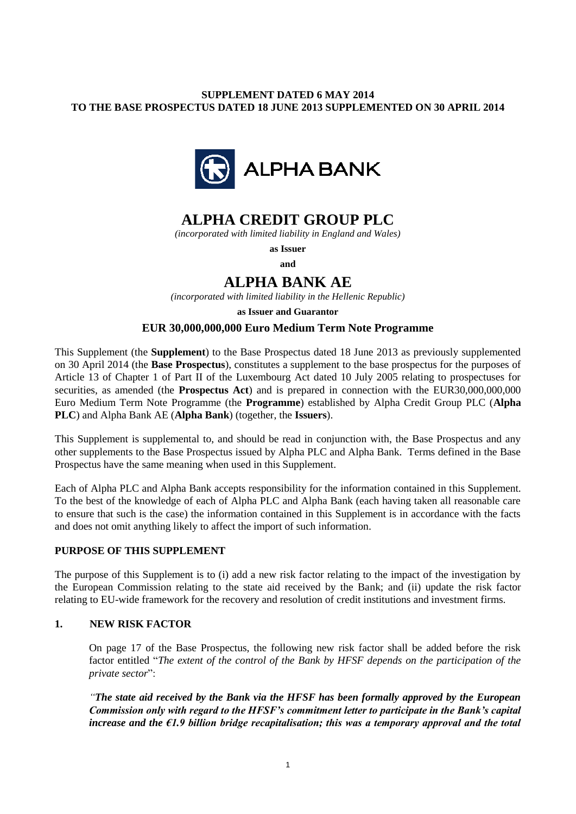## **SUPPLEMENT DATED 6 MAY 2014 TO THE BASE PROSPECTUS DATED 18 JUNE 2013 SUPPLEMENTED ON 30 APRIL 2014**



## **ALPHA CREDIT GROUP PLC**

*(incorporated with limited liability in England and Wales)*

**as Issuer and**

# **ALPHA BANK AE**

*(incorporated with limited liability in the Hellenic Republic)*

**as Issuer and Guarantor**

## **EUR 30,000,000,000 Euro Medium Term Note Programme**

This Supplement (the **Supplement**) to the Base Prospectus dated 18 June 2013 as previously supplemented on 30 April 2014 (the **Base Prospectus**), constitutes a supplement to the base prospectus for the purposes of Article 13 of Chapter 1 of Part II of the Luxembourg Act dated 10 July 2005 relating to prospectuses for securities, as amended (the **Prospectus Act**) and is prepared in connection with the EUR30,000,000,000 Euro Medium Term Note Programme (the **Programme**) established by Alpha Credit Group PLC (**Alpha PLC**) and Alpha Bank AE (**Alpha Bank**) (together, the **Issuers**).

This Supplement is supplemental to, and should be read in conjunction with, the Base Prospectus and any other supplements to the Base Prospectus issued by Alpha PLC and Alpha Bank. Terms defined in the Base Prospectus have the same meaning when used in this Supplement.

Each of Alpha PLC and Alpha Bank accepts responsibility for the information contained in this Supplement. To the best of the knowledge of each of Alpha PLC and Alpha Bank (each having taken all reasonable care to ensure that such is the case) the information contained in this Supplement is in accordance with the facts and does not omit anything likely to affect the import of such information.

#### **PURPOSE OF THIS SUPPLEMENT**

The purpose of this Supplement is to (i) add a new risk factor relating to the impact of the investigation by the European Commission relating to the state aid received by the Bank; and (ii) update the risk factor relating to EU-wide framework for the recovery and resolution of credit institutions and investment firms.

#### **1. NEW RISK FACTOR**

On page 17 of the Base Prospectus, the following new risk factor shall be added before the risk factor entitled "*The extent of the control of the Bank by HFSF depends on the participation of the private sector*":

*"The state aid received by the Bank via the HFSF has been formally approved by the European Commission only with regard to the HFSF's commitment letter to participate in the Bank's capital increase and the €1.9 billion bridge recapitalisation; this was a temporary approval and the total*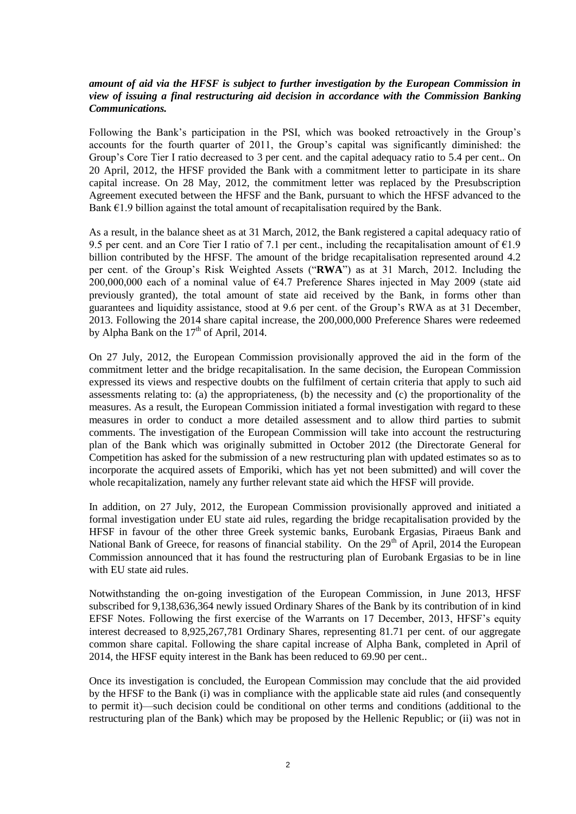### *amount of aid via the HFSF is subject to further investigation by the European Commission in view of issuing a final restructuring aid decision in accordance with the Commission Banking Communications.*

Following the Bank's participation in the PSI, which was booked retroactively in the Group's accounts for the fourth quarter of 2011, the Group's capital was significantly diminished: the Group's Core Tier I ratio decreased to 3 per cent. and the capital adequacy ratio to 5.4 per cent.. On 20 April, 2012, the HFSF provided the Bank with a commitment letter to participate in its share capital increase. On 28 May, 2012, the commitment letter was replaced by the Presubscription Agreement executed between the HFSF and the Bank, pursuant to which the HFSF advanced to the Bank  $\epsilon$ 1.9 billion against the total amount of recapitalisation required by the Bank.

As a result, in the balance sheet as at 31 March, 2012, the Bank registered a capital adequacy ratio of 9.5 per cent. and an Core Tier I ratio of 7.1 per cent., including the recapitalisation amount of  $\epsilon$ 1.9 billion contributed by the HFSF. The amount of the bridge recapitalisation represented around 4.2 per cent. of the Group's Risk Weighted Assets ("**RWA**") as at 31 March, 2012. Including the 200,000,000 each of a nominal value of  $64.7$  Preference Shares injected in May 2009 (state aid previously granted), the total amount of state aid received by the Bank, in forms other than guarantees and liquidity assistance, stood at 9.6 per cent. of the Group's RWA as at 31 December, 2013. Following the 2014 share capital increase, the 200,000,000 Preference Shares were redeemed by Alpha Bank on the  $17<sup>th</sup>$  of April, 2014.

On 27 July, 2012, the European Commission provisionally approved the aid in the form of the commitment letter and the bridge recapitalisation. In the same decision, the European Commission expressed its views and respective doubts on the fulfilment of certain criteria that apply to such aid assessments relating to: (a) the appropriateness, (b) the necessity and (c) the proportionality of the measures. As a result, the European Commission initiated a formal investigation with regard to these measures in order to conduct a more detailed assessment and to allow third parties to submit comments. The investigation of the European Commission will take into account the restructuring plan of the Bank which was originally submitted in October 2012 (the Directorate General for Competition has asked for the submission of a new restructuring plan with updated estimates so as to incorporate the acquired assets of Emporiki, which has yet not been submitted) and will cover the whole recapitalization, namely any further relevant state aid which the HFSF will provide.

In addition, on 27 July, 2012, the European Commission provisionally approved and initiated a formal investigation under EU state aid rules, regarding the bridge recapitalisation provided by the HFSF in favour of the other three Greek systemic banks, Eurobank Ergasias, Piraeus Bank and National Bank of Greece, for reasons of financial stability. On the 29<sup>th</sup> of April, 2014 the European Commission announced that it has found the restructuring plan of Eurobank Ergasias to be in line with EU state aid rules.

Notwithstanding the on-going investigation of the European Commission, in June 2013, HFSF subscribed for 9,138,636,364 newly issued Ordinary Shares of the Bank by its contribution of in kind EFSF Notes. Following the first exercise of the Warrants on 17 December, 2013, HFSF's equity interest decreased to 8,925,267,781 Ordinary Shares, representing 81.71 per cent. of our aggregate common share capital. Following the share capital increase of Alpha Bank, completed in April of 2014, the HFSF equity interest in the Bank has been reduced to 69.90 per cent..

Once its investigation is concluded, the European Commission may conclude that the aid provided by the HFSF to the Bank (i) was in compliance with the applicable state aid rules (and consequently to permit it)—such decision could be conditional on other terms and conditions (additional to the restructuring plan of the Bank) which may be proposed by the Hellenic Republic; or (ii) was not in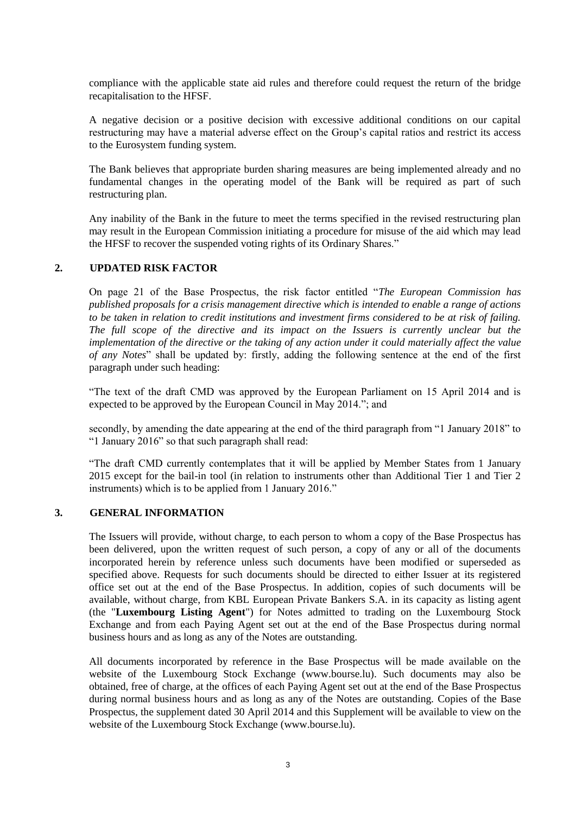compliance with the applicable state aid rules and therefore could request the return of the bridge recapitalisation to the HFSF.

A negative decision or a positive decision with excessive additional conditions on our capital restructuring may have a material adverse effect on the Group's capital ratios and restrict its access to the Eurosystem funding system.

The Bank believes that appropriate burden sharing measures are being implemented already and no fundamental changes in the operating model of the Bank will be required as part of such restructuring plan.

Any inability of the Bank in the future to meet the terms specified in the revised restructuring plan may result in the European Commission initiating a procedure for misuse of the aid which may lead the HFSF to recover the suspended voting rights of its Ordinary Shares."

#### **2. UPDATED RISK FACTOR**

On page 21 of the Base Prospectus, the risk factor entitled "*The European Commission has published proposals for a crisis management directive which is intended to enable a range of actions to be taken in relation to credit institutions and investment firms considered to be at risk of failing. The full scope of the directive and its impact on the Issuers is currently unclear but the implementation of the directive or the taking of any action under it could materially affect the value of any Notes*" shall be updated by: firstly, adding the following sentence at the end of the first paragraph under such heading:

"The text of the draft CMD was approved by the European Parliament on 15 April 2014 and is expected to be approved by the European Council in May 2014."; and

secondly, by amending the date appearing at the end of the third paragraph from "1 January 2018" to "1 January 2016" so that such paragraph shall read:

"The draft CMD currently contemplates that it will be applied by Member States from 1 January 2015 except for the bail-in tool (in relation to instruments other than Additional Tier 1 and Tier 2 instruments) which is to be applied from 1 January 2016."

#### **3. GENERAL INFORMATION**

The Issuers will provide, without charge, to each person to whom a copy of the Base Prospectus has been delivered, upon the written request of such person, a copy of any or all of the documents incorporated herein by reference unless such documents have been modified or superseded as specified above. Requests for such documents should be directed to either Issuer at its registered office set out at the end of the Base Prospectus. In addition, copies of such documents will be available, without charge, from KBL European Private Bankers S.A. in its capacity as listing agent (the "**Luxembourg Listing Agent**") for Notes admitted to trading on the Luxembourg Stock Exchange and from each Paying Agent set out at the end of the Base Prospectus during normal business hours and as long as any of the Notes are outstanding.

All documents incorporated by reference in the Base Prospectus will be made available on the website of the Luxembourg Stock Exchange (www.bourse.lu). Such documents may also be obtained, free of charge, at the offices of each Paying Agent set out at the end of the Base Prospectus during normal business hours and as long as any of the Notes are outstanding. Copies of the Base Prospectus, the supplement dated 30 April 2014 and this Supplement will be available to view on the website of the Luxembourg Stock Exchange (www.bourse.lu).